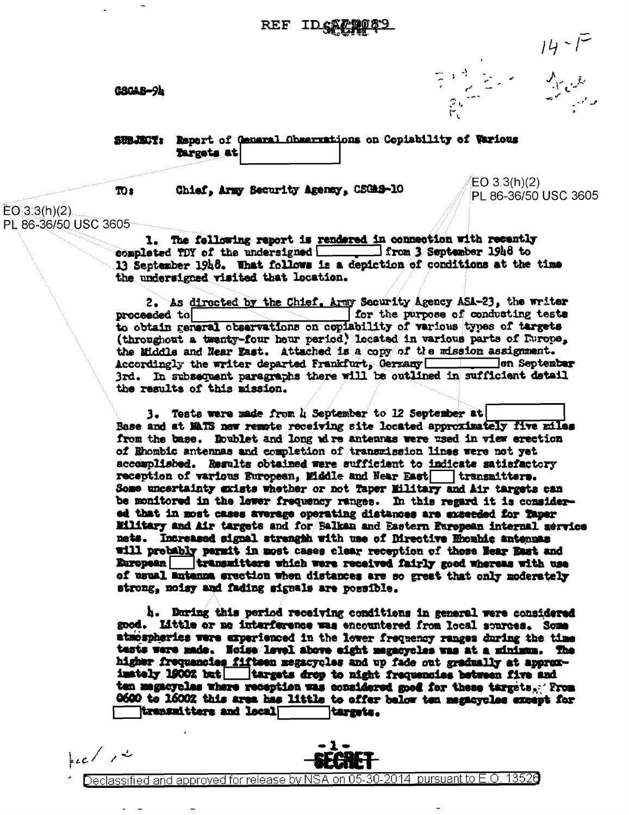GSGAS-94

 $\frac{14}{7} - \frac{14}{11}$ 

SUBJET: Report of General Observations on Copiability of Tarious Targets at

TO<sub>1</sub>

Chief, Army Security Agency, CSGAS-10

 $EO 3.3(h)(2)$ PL 86-36/50 USC 3605

 $EO 3.3(h)(2)$ PL 86-36/50 USC 3605

> 1. The following report is rendered in connection with recently completed TDY of the undersigned \_\_\_\_\_\_ from 3 September 1946 to 13 September 1948. What follows is a depiction of conditions at the time the undersigned visited that location.

2. As directed by the Chief. Army Security Agency ASA-23, the writer for the purpose of conducting tests proceeded to to obtain remeral observations on copiability of various types of targets (throughout a twenty-four hour period) located in various parts of Furope, the Middle and Near Fast. Attached is a copy of the mission assignment. Accordingly the writer departed Frankfurt, Germany \_\_\_\_\_\_\_\_ on September 3rd. In subsequent paragraphs there will be outlined in sufficient detail the results of this mission.

3. Tests were made from 4 September to 12 September at Base and at MATS new remote receiving site located approximately five miles from the base. Roublet and long wire antennas were used in view erection of Ehombic antennas and completion of transmission lines were not yet accomplished. Results obtained were sufficient to indicate satisfactory reception of various European, Middle and Near East transmitters. Some uncertainty exists whether or not Taper Military and Air targets can be monitored in the lewer frequency ranges. In this regard it is considered that in most cases average operating distances are exceeded for Taper Eilitary and Air targets and for Balkan and Eastern European internal service nets. Increased signal strength with use of Directive Rhombic antennas will probably permit in most cases clear reception of those Hear East and European transmitters which were received fairly good whereas with use of usual antenna erection when distances are so great that only moderately strong, noisy and fading signals are possible.

h. During this period receiving conditions in general were considered good. Little or no interference was encountered from local sources. Some atmospheries were experienced in the lever frequency ranges during the time tests were made. Noise level above eight megacycles was at a minimum. The higher frequencies fifteen megacycles and up fade out gradually at approximately 19002 but | targets drop to night frequencies between five and ten megacyclas where reception was considered good for these targets. From 0600 to 16002 this area has little to offer below ten magacycles except for transmitters and local targets.

 $k c / r^2$ 



Declassified and approved for release by NSA on 05-30-2014 pursuant to E.O. 13526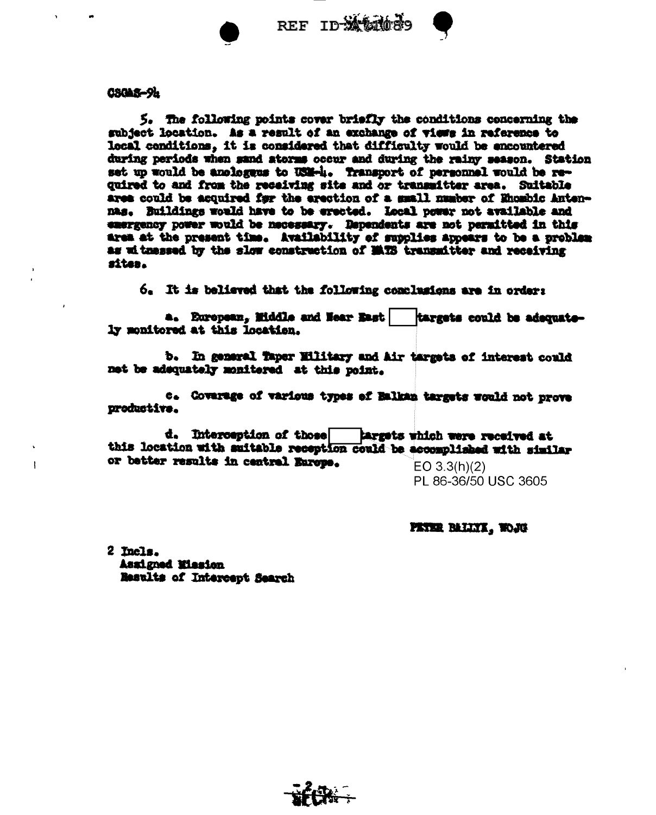REF ID-Xt0009



5. The following points cover briefly the conditions concerning the subject location. As a result of an exchange of views in reference to local conditions, it is considered that difficulty would be encountered during periods when sand atorss occur and during the rainy season. Station set up would be anologeus to USM-4. Transport of personnel would be required to and from the receiving site and or transmitter area. Suitable area could be acquired for the erection of a small number of Ehombic Antennas. Buildings would have to be erected. Local power not available and emergency power would be necessary. Dependents are not permitted in this area at the present time. Availability of supplies appears to be a problem as witnessed by the slow construction of MATS transmitter and receiving sites.

6. It is believed that the following conclusions are in order:

a. European, Middle and Hear East targets could be adequately monitored at this location.

b. In general Taper Military and Air targets of interest could net be adsquately monitered at this point.

c. Covarage of various types of Balkan targets would not prove productive.

d. Interception of those targets which were received at this location with auitable reception could be accomplished with similar or better results in central Europe.  $EO 3.3(h)(2)$ 

PL 86-36/50 USC 3605

PETER BALLYK, WOJG

2 Incls. Assigned Mission Results of Intercept Search

ł

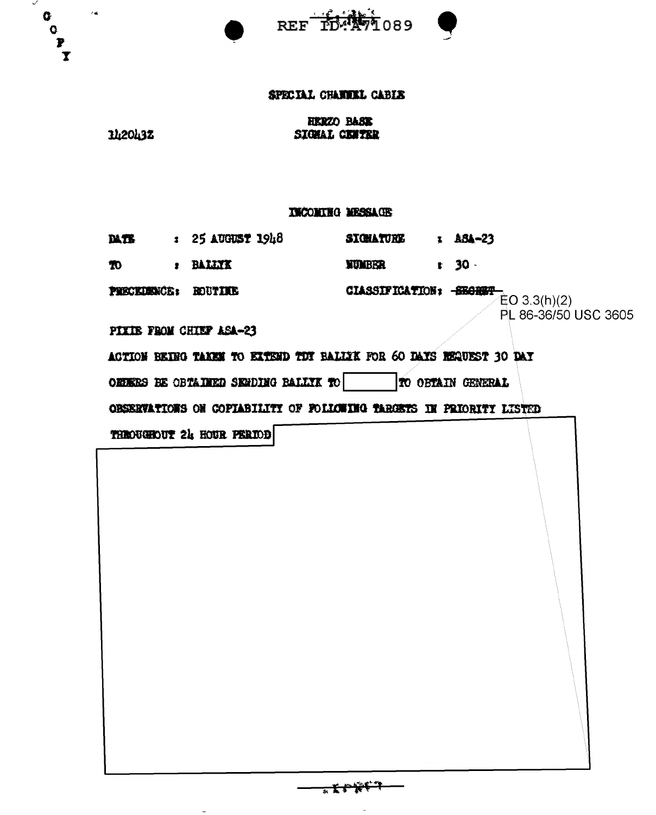| ✓<br>$\mathcal{C}$ on<br>O.<br>$\overline{\mathbf{e}}$<br>$\mathbf{x}$ |                                                                     | REF ID: AV1089                                                       |  |  |  |  |  |  |
|------------------------------------------------------------------------|---------------------------------------------------------------------|----------------------------------------------------------------------|--|--|--|--|--|--|
|                                                                        | SPECIAL CHANNEL CABIE                                               |                                                                      |  |  |  |  |  |  |
|                                                                        | 1420432                                                             | <b>HERZO BASE</b><br>SIGHAL CENTER                                   |  |  |  |  |  |  |
| <b>IMCONING MESSAGE</b>                                                |                                                                     |                                                                      |  |  |  |  |  |  |
|                                                                        |                                                                     | DATE : 25 AUGUST 1948 SIGHATURE : ASA-23                             |  |  |  |  |  |  |
|                                                                        | : BALLIX<br>$\boldsymbol{\pi}$                                      | $t = 30 -$<br><b>NUMBER</b>                                          |  |  |  |  |  |  |
|                                                                        | PRECEDENCE: ROUTIEE                                                 | <b>CIASSIFICATION:</b> $-\frac{\text{SKGRBT}}{\text{EO } 3.3(h)(2)}$ |  |  |  |  |  |  |
|                                                                        | PIXIB FROM CHIEF ASA-23                                             | PL 86-36/50 USC 3605                                                 |  |  |  |  |  |  |
|                                                                        |                                                                     | ACTION BEING TAKEN TO EXTEND TIT BALLIK FOR 60 DAYS REQUEST 30 DAY   |  |  |  |  |  |  |
|                                                                        | OEEERS BE OBTAINED SENDING BALLIK TO                                | TO OBTAIN GENERAL                                                    |  |  |  |  |  |  |
|                                                                        | OBSERVATIONS ON COPIABILITI OF FOLLOWING TARGETS IN PRIORITI LISTED |                                                                      |  |  |  |  |  |  |
|                                                                        | THROUGHOUT 24 HOUR PERIOD                                           |                                                                      |  |  |  |  |  |  |
|                                                                        |                                                                     |                                                                      |  |  |  |  |  |  |

<del>- - 文ジ 笑じり</del>

 $\frac{1}{\sqrt{2}}$ 

 $\overline{\phantom{0}}$ 

 $\equiv$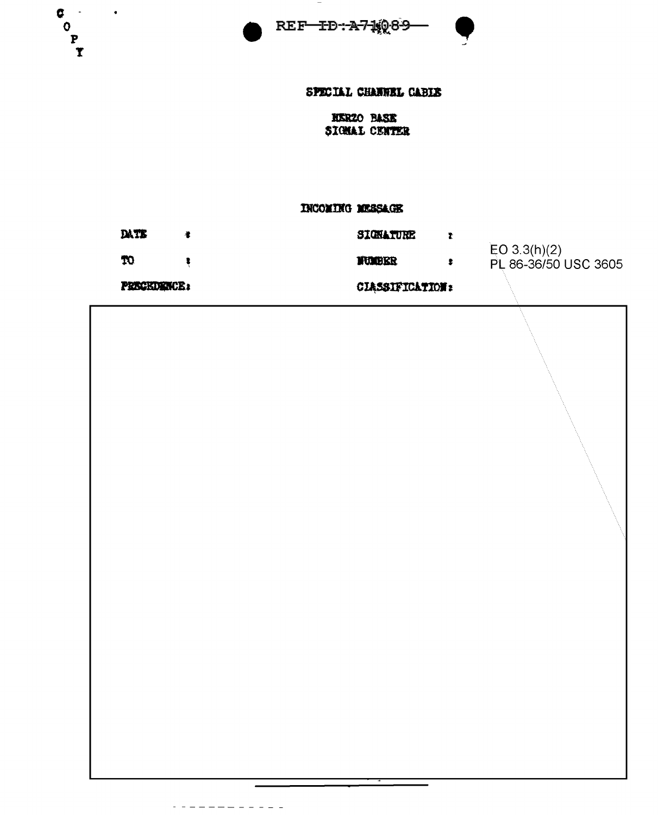



## SPECIAL CHANNEL CABIS

## **NERZO BASE** SIGNAL CENTER

#### **INCOMING MESSAGE**

| DATE               |  | SIGNATURE              |  |                                      |
|--------------------|--|------------------------|--|--------------------------------------|
| TO.                |  | <b>NUMBER</b>          |  | EO 3.3(h)(2)<br>PL 86-36/50 USC 3605 |
| <b>PRECKDENCE:</b> |  | <b>CLASSIFICATION:</b> |  |                                      |

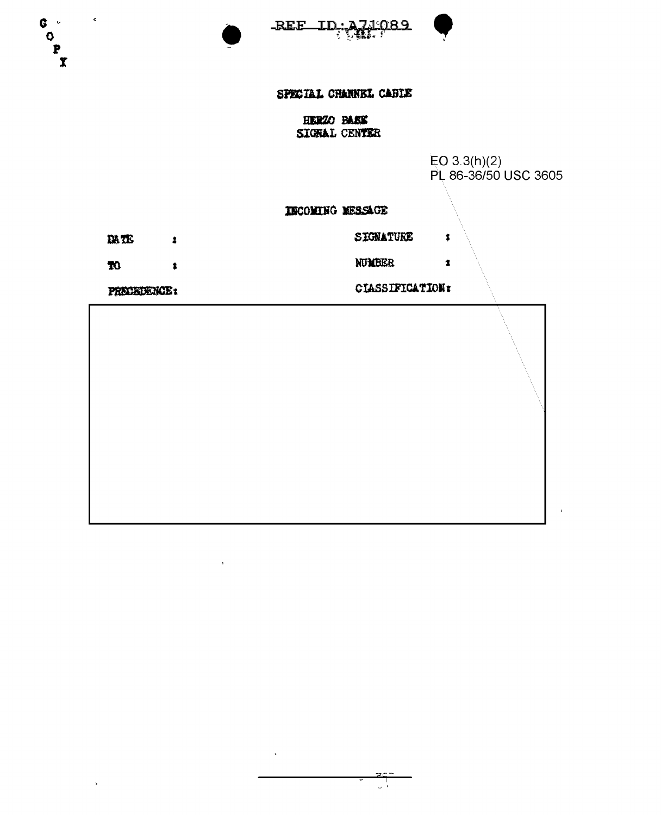



 $\clubsuit$ 

 $\pmb{1}$ 

# SPECIAL CHANNEL CABLE

**HERZO BASE** SIGRAL CENTER

EO 3.3(h)(2)<br>PL 86-36/50 USC 3605

INCOMING MESSAGE

DATE  $\pmb{z}$ 

 $\boldsymbol{\pi}$ 

l,

PRECEDENCE:

 $\ddagger$ 

CIASSIFICATION:

SIGNATURE

NUMBER

 $\epsilon$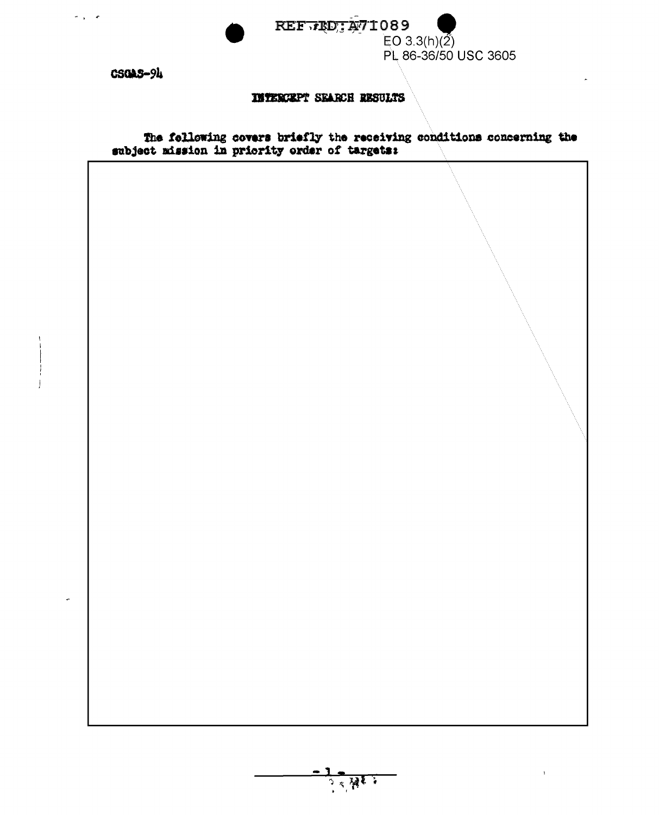



**CSOAS-94** 

 $\sigma_{\rm eff} = \sigma$ 

## **INTERCEPT SEARCH RESULTS**

The following covers briefly the receiving conditions concerning the subject mission in priority order of targets:



 $\mathbf{I}$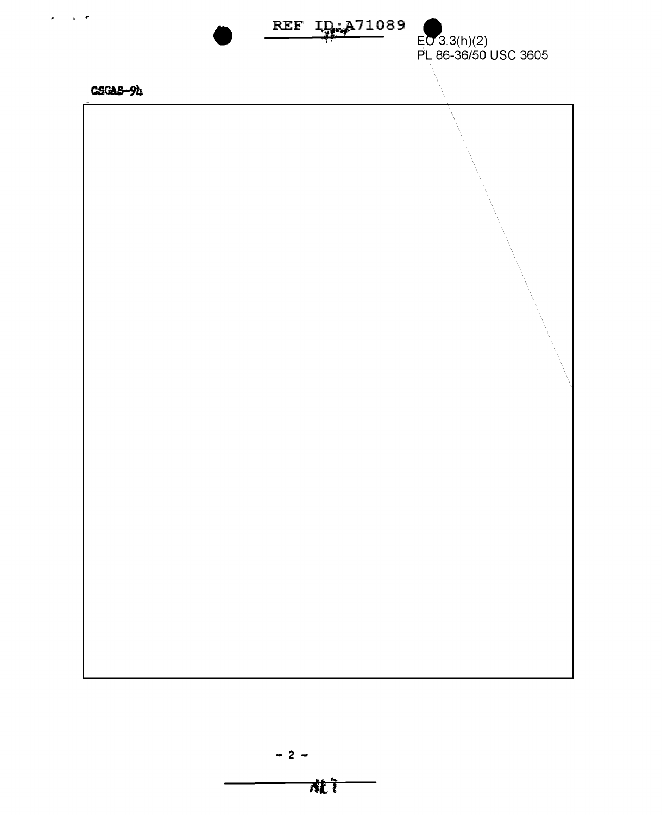